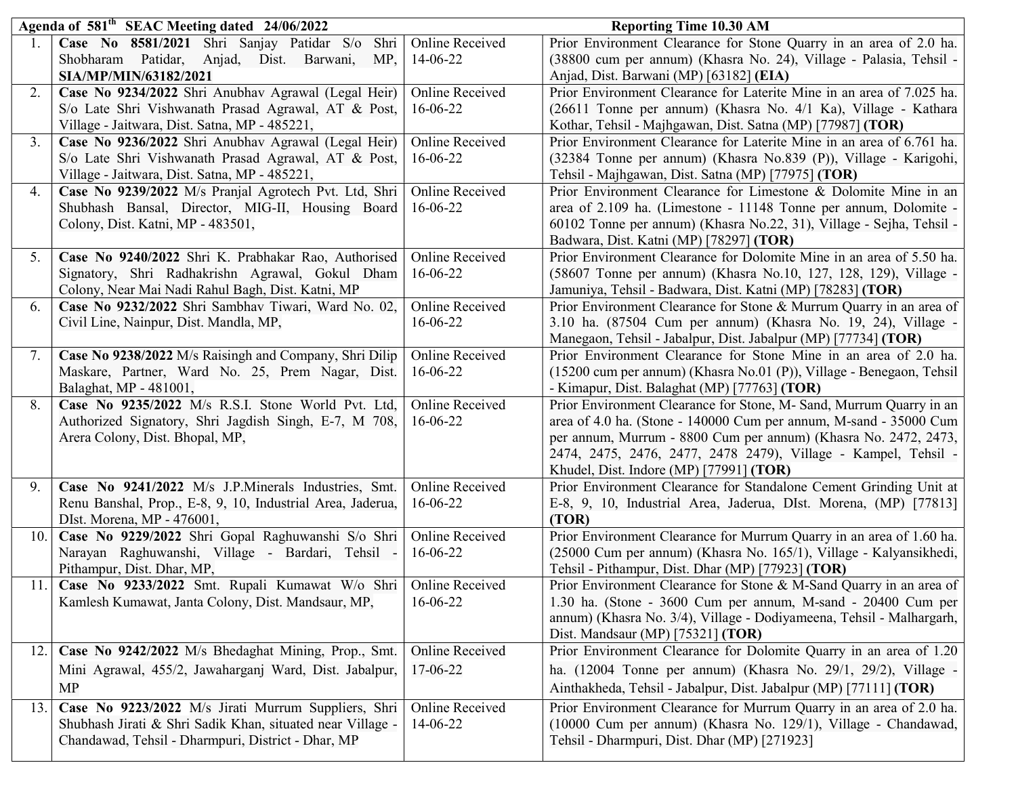| Case No 8581/2021 Shri Sanjay Patidar S/o<br>Online Received<br>Prior Environment Clearance for Stone Quarry in an area of 2.0 ha.<br>Shri                                                                                        |  |
|-----------------------------------------------------------------------------------------------------------------------------------------------------------------------------------------------------------------------------------|--|
|                                                                                                                                                                                                                                   |  |
| 14-06-22<br>(38800 cum per annum) (Khasra No. 24), Village - Palasia, Tehsil -<br>Shobharam Patidar, Anjad, Dist. Barwani,<br>MP,                                                                                                 |  |
| SIA/MP/MIN/63182/2021<br>Anjad, Dist. Barwani (MP) [63182] (EIA)                                                                                                                                                                  |  |
| Case No 9234/2022 Shri Anubhav Agrawal (Legal Heir)<br>2.<br>Online Received<br>Prior Environment Clearance for Laterite Mine in an area of 7.025 ha.                                                                             |  |
| S/o Late Shri Vishwanath Prasad Agrawal, AT & Post,<br>16-06-22<br>(26611 Tonne per annum) (Khasra No. 4/1 Ka), Village - Kathara                                                                                                 |  |
| Village - Jaitwara, Dist. Satna, MP - 485221,<br>Kothar, Tehsil - Majhgawan, Dist. Satna (MP) [77987] (TOR)                                                                                                                       |  |
| 3.<br>Case No 9236/2022 Shri Anubhav Agrawal (Legal Heir)<br>Online Received<br>Prior Environment Clearance for Laterite Mine in an area of 6.761 ha.                                                                             |  |
| S/o Late Shri Vishwanath Prasad Agrawal, AT & Post,<br>$16 - 06 - 22$<br>(32384 Tonne per annum) (Khasra No.839 (P)), Village - Karigohi,                                                                                         |  |
| Village - Jaitwara, Dist. Satna, MP - 485221,<br>Tehsil - Majhgawan, Dist. Satna (MP) [77975] (TOR)                                                                                                                               |  |
| Case No 9239/2022 M/s Pranjal Agrotech Pvt. Ltd, Shri<br>Prior Environment Clearance for Limestone & Dolomite Mine in an<br>Online Received<br>4.<br>16-06-22<br>area of 2.109 ha. (Limestone - 11148 Tonne per annum, Dolomite - |  |
| Shubhash Bansal, Director, MIG-II, Housing Board<br>Colony, Dist. Katni, MP - 483501,                                                                                                                                             |  |
| 60102 Tonne per annum) (Khasra No.22, 31), Village - Sejha, Tehsil -<br>Badwara, Dist. Katni (MP) [78297] (TOR)                                                                                                                   |  |
| <b>Online Received</b><br>Prior Environment Clearance for Dolomite Mine in an area of 5.50 ha.<br>Case No 9240/2022 Shri K. Prabhakar Rao, Authorised<br>5.                                                                       |  |
| Signatory, Shri Radhakrishn Agrawal, Gokul Dham<br>16-06-22<br>(58607 Tonne per annum) (Khasra No.10, 127, 128, 129), Village -                                                                                                   |  |
| Colony, Near Mai Nadi Rahul Bagh, Dist. Katni, MP<br>Jamuniya, Tehsil - Badwara, Dist. Katni (MP) [78283] (TOR)                                                                                                                   |  |
| Case No 9232/2022 Shri Sambhav Tiwari, Ward No. 02,<br>Online Received<br>Prior Environment Clearance for Stone & Murrum Quarry in an area of<br>6.                                                                               |  |
| 16-06-22<br>3.10 ha. (87504 Cum per annum) (Khasra No. 19, 24), Village -<br>Civil Line, Nainpur, Dist. Mandla, MP,                                                                                                               |  |
| Manegaon, Tehsil - Jabalpur, Dist. Jabalpur (MP) [77734] (TOR)                                                                                                                                                                    |  |
| Case No 9238/2022 M/s Raisingh and Company, Shri Dilip<br><b>Online Received</b><br>Prior Environment Clearance for Stone Mine in an area of 2.0 ha.<br>7.                                                                        |  |
| Maskare, Partner, Ward No. 25, Prem Nagar, Dist.<br>16-06-22<br>(15200 cum per annum) (Khasra No.01 (P)), Village - Benegaon, Tehsil                                                                                              |  |
| Balaghat, MP - 481001,<br>- Kimapur, Dist. Balaghat (MP) [77763] (TOR)                                                                                                                                                            |  |
| 8.<br>Case No 9235/2022 M/s R.S.I. Stone World Pvt. Ltd,<br><b>Online Received</b><br>Prior Environment Clearance for Stone, M- Sand, Murrum Quarry in an                                                                         |  |
| area of 4.0 ha. (Stone - 140000 Cum per annum, M-sand - 35000 Cum<br>Authorized Signatory, Shri Jagdish Singh, E-7, M 708,<br>$16 - 06 - 22$                                                                                      |  |
| per annum, Murrum - 8800 Cum per annum) (Khasra No. 2472, 2473,<br>Arera Colony, Dist. Bhopal, MP,<br>2474, 2475, 2476, 2477, 2478 2479), Village - Kampel, Tehsil -                                                              |  |
| Khudel, Dist. Indore (MP) [77991] (TOR)                                                                                                                                                                                           |  |
| Case No 9241/2022 M/s J.P.Minerals Industries, Smt.<br><b>Online Received</b><br>Prior Environment Clearance for Standalone Cement Grinding Unit at<br>9.                                                                         |  |
| E-8, 9, 10, Industrial Area, Jaderua, DIst. Morena, (MP) [77813]<br>Renu Banshal, Prop., E-8, 9, 10, Industrial Area, Jaderua,<br>$16 - 06 - 22$                                                                                  |  |
| DIst. Morena, MP - 476001,<br>(TOR)                                                                                                                                                                                               |  |
| Case No 9229/2022 Shri Gopal Raghuwanshi S/o Shri<br>Prior Environment Clearance for Murrum Quarry in an area of 1.60 ha.<br>Online Received<br>10.1                                                                              |  |
| (25000 Cum per annum) (Khasra No. 165/1), Village - Kalyansikhedi,<br>Narayan Raghuwanshi, Village - Bardari, Tehsil -<br>$16 - 06 - 22$                                                                                          |  |
| Tehsil - Pithampur, Dist. Dhar (MP) [77923] (TOR)<br>Pithampur, Dist. Dhar, MP,                                                                                                                                                   |  |
| Case No 9233/2022 Smt. Rupali Kumawat W/o Shri<br><b>Online Received</b><br>Prior Environment Clearance for Stone & M-Sand Quarry in an area of<br>11.1                                                                           |  |
| 1.30 ha. (Stone - 3600 Cum per annum, M-sand - 20400 Cum per<br>Kamlesh Kumawat, Janta Colony, Dist. Mandsaur, MP,<br>16-06-22                                                                                                    |  |
| annum) (Khasra No. 3/4), Village - Dodiyameena, Tehsil - Malhargarh,                                                                                                                                                              |  |
| Dist. Mandsaur (MP) [75321] (TOR)                                                                                                                                                                                                 |  |
| Prior Environment Clearance for Dolomite Quarry in an area of 1.20<br><b>Online Received</b><br>Case No 9242/2022 M/s Bhedaghat Mining, Prop., Smt.<br>12.1                                                                       |  |
| Mini Agrawal, 455/2, Jawaharganj Ward, Dist. Jabalpur,<br>17-06-22<br>ha. (12004 Tonne per annum) (Khasra No. 29/1, 29/2), Village -                                                                                              |  |
| Ainthakheda, Tehsil - Jabalpur, Dist. Jabalpur (MP) [77111] (TOR)<br>MP                                                                                                                                                           |  |
| Prior Environment Clearance for Murrum Quarry in an area of 2.0 ha.<br>Case No 9223/2022 M/s Jirati Murrum Suppliers, Shri<br><b>Online Received</b><br>13.1                                                                      |  |
| (10000 Cum per annum) (Khasra No. 129/1), Village - Chandawad,<br>Shubhash Jirati & Shri Sadik Khan, situated near Village -<br>14-06-22                                                                                          |  |
| Chandawad, Tehsil - Dharmpuri, District - Dhar, MP<br>Tehsil - Dharmpuri, Dist. Dhar (MP) [271923]                                                                                                                                |  |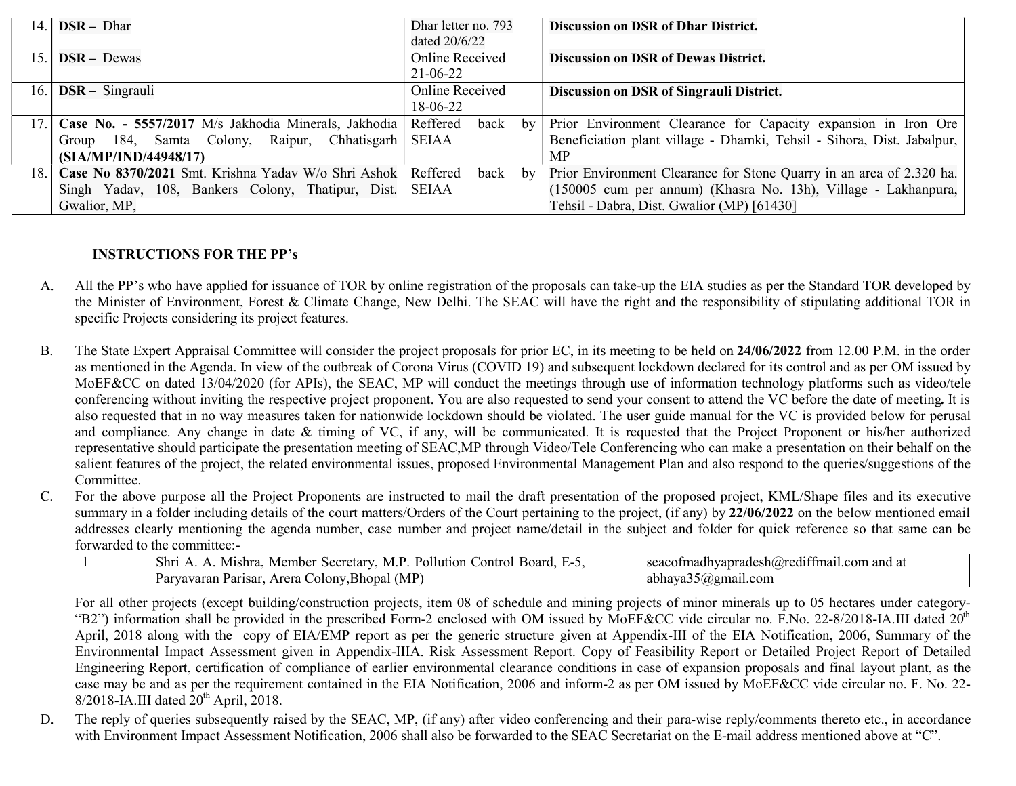| 14.   | $DSR - Dhar$                                                   | Dhar letter no. 793 | <b>Discussion on DSR of Dhar District.</b>                             |
|-------|----------------------------------------------------------------|---------------------|------------------------------------------------------------------------|
|       |                                                                | dated $20/6/22$     |                                                                        |
| 15.1  | $DSR - Dewas$                                                  | Online Received     | <b>Discussion on DSR of Dewas District.</b>                            |
|       |                                                                | $21 - 06 - 22$      |                                                                        |
| 16.1  | $DSR - Singrauli$                                              | Online Received     | Discussion on DSR of Singrauli District.                               |
|       |                                                                | 18-06-22            |                                                                        |
|       | Case No. - 5557/2017 M/s Jakhodia Minerals, Jakhodia           | Reffered<br>back    | by Prior Environment Clearance for Capacity expansion in Iron Ore      |
|       | Group 184, Samta Colony, Raipur, Chhatisgarh                   | <b>SEIAA</b>        | Beneficiation plant village - Dhamki, Tehsil - Sihora, Dist. Jabalpur, |
|       | (SIA/MP/IND/44948/17)                                          |                     | <b>MP</b>                                                              |
| 18. I | Case No 8370/2021 Smt. Krishna Yadav W/o Shri Ashok   Reffered | by<br>back          | Prior Environment Clearance for Stone Quarry in an area of 2.320 ha.   |
|       | Singh Yadav, 108, Bankers Colony, Thatipur, Dist.              | SEIAA               | (150005 cum per annum) (Khasra No. 13h), Village - Lakhanpura,         |
|       | Gwalior, MP,                                                   |                     | Tehsil - Dabra, Dist. Gwalior (MP) [61430]                             |

## INSTRUCTIONS FOR THE PP's

- A. All the PP's who have applied for issuance of TOR by online registration of the proposals can take-up the EIA studies as per the Standard TOR developed by the Minister of Environment, Forest & Climate Change, New Delhi. The SEAC will have the right and the responsibility of stipulating additional TOR in specific Projects considering its project features.
- B. The State Expert Appraisal Committee will consider the project proposals for prior EC, in its meeting to be held on 24/06/2022 from 12.00 P.M. in the order as mentioned in the Agenda. In view of the outbreak of Corona Virus (COVID 19) and subsequent lockdown declared for its control and as per OM issued by MoEF&CC on dated 13/04/2020 (for APIs), the SEAC, MP will conduct the meetings through use of information technology platforms such as video/tele conferencing without inviting the respective project proponent. You are also requested to send your consent to attend the VC before the date of meeting. It is also requested that in no way measures taken for nationwide lockdown should be violated. The user guide manual for the VC is provided below for perusal and compliance. Any change in date & timing of VC, if any, will be communicated. It is requested that the Project Proponent or his/her authorized representative should participate the presentation meeting of SEAC,MP through Video/Tele Conferencing who can make a presentation on their behalf on the salient features of the project, the related environmental issues, proposed Environmental Management Plan and also respond to the queries/suggestions of the Committee.
- C. For the above purpose all the Project Proponents are instructed to mail the draft presentation of the proposed project, KML/Shape files and its executive summary in a folder including details of the court matters/Orders of the Court pertaining to the project, (if any) by 22/06/2022 on the below mentioned email addresses clearly mentioning the agenda number, case number and project name/detail in the subject and folder for quick reference so that same can be forwarded to the committee:-

| Pollution<br>Secretary.<br>Board.<br>- IVI<br>.`ontrol<br>Mishra<br>. Member<br>shr<br>         | $\bullet$ $\bullet$<br>. .<br>and a<br>$\mathsf{Lsh}(\omega)$ redt <sup>+</sup><br>$\gamma$ om $\gamma$<br>'hvanrade.<br>шамп |
|-------------------------------------------------------------------------------------------------|-------------------------------------------------------------------------------------------------------------------------------|
| $\Lambda$ (MP)<br>Arera<br>$\sim$ olony $\sim$<br>'.Bhopal<br>Parisar.<br>vavaran<br>⊿ำ<br>. ai | $5$ ( <i>a</i> ) gmail.com<br>abhava3                                                                                         |

For all other projects (except building/construction projects, item 08 of schedule and mining projects of minor minerals up to 05 hectares under category- "B2") information shall be provided in the prescribed Form-2 enclosed with OM issued by MoEF&CC vide circular no. F.No. 22-8/2018-IA.III dated 20<sup>th</sup> April, 2018 along with the copy of EIA/EMP report as per the generic structure given at Appendix-III of the EIA Notification, 2006, Summary of the Environmental Impact Assessment given in Appendix-IIIA. Risk Assessment Report. Copy of Feasibility Report or Detailed Project Report of Detailed Engineering Report, certification of compliance of earlier environmental clearance conditions in case of expansion proposals and final layout plant, as the case may be and as per the requirement contained in the EIA Notification, 2006 and inform-2 as per OM issued by MoEF&CC vide circular no. F. No. 22-  $8/2018$ -IA.III dated  $20<sup>th</sup>$  April, 2018.

D. The reply of queries subsequently raised by the SEAC, MP, (if any) after video conferencing and their para-wise reply/comments thereto etc., in accordance with Environment Impact Assessment Notification, 2006 shall also be forwarded to the SEAC Secretariat on the E-mail address mentioned above at "C".